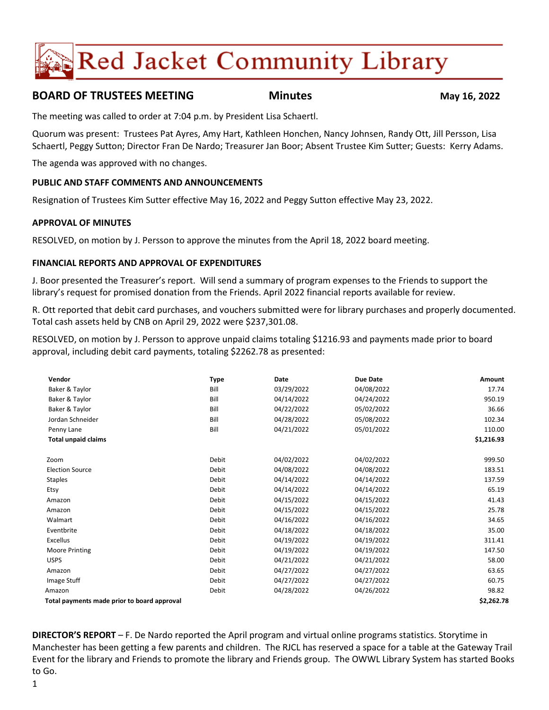# **Red Jacket Community Library**

# **BOARD OF TRUSTEES MEETING Minutes May 16, 2022**

The meeting was called to order at 7:04 p.m. by President Lisa Schaertl.

Quorum was present: Trustees Pat Ayres, Amy Hart, Kathleen Honchen, Nancy Johnsen, Randy Ott, Jill Persson, Lisa Schaertl, Peggy Sutton; Director Fran De Nardo; Treasurer Jan Boor; Absent Trustee Kim Sutter; Guests: Kerry Adams.

The agenda was approved with no changes.

# **PUBLIC AND STAFF COMMENTS AND ANNOUNCEMENTS**

Resignation of Trustees Kim Sutter effective May 16, 2022 and Peggy Sutton effective May 23, 2022.

### **APPROVAL OF MINUTES**

RESOLVED, on motion by J. Persson to approve the minutes from the April 18, 2022 board meeting.

### **FINANCIAL REPORTS AND APPROVAL OF EXPENDITURES**

J. Boor presented the Treasurer's report. Will send a summary of program expenses to the Friends to support the library's request for promised donation from the Friends. April 2022 financial reports available for review.

R. Ott reported that debit card purchases, and vouchers submitted were for library purchases and properly documented. Total cash assets held by CNB on April 29, 2022 were \$237,301.08.

RESOLVED, on motion by J. Persson to approve unpaid claims totaling \$1216.93 and payments made prior to board approval, including debit card payments, totaling \$2262.78 as presented:

| Vendor                                      | <b>Type</b>  | Date       | <b>Due Date</b> | Amount     |
|---------------------------------------------|--------------|------------|-----------------|------------|
| Baker & Taylor                              | Bill         | 03/29/2022 | 04/08/2022      | 17.74      |
| Baker & Taylor                              | Bill         | 04/14/2022 | 04/24/2022      | 950.19     |
| Baker & Taylor                              | Bill         | 04/22/2022 | 05/02/2022      | 36.66      |
| Jordan Schneider                            | Bill         | 04/28/2022 | 05/08/2022      | 102.34     |
| Penny Lane                                  | Bill         | 04/21/2022 | 05/01/2022      | 110.00     |
| <b>Total unpaid claims</b>                  |              |            |                 | \$1,216.93 |
| Zoom                                        | <b>Debit</b> | 04/02/2022 | 04/02/2022      | 999.50     |
| <b>Election Source</b>                      | Debit        | 04/08/2022 | 04/08/2022      | 183.51     |
| <b>Staples</b>                              | Debit        | 04/14/2022 | 04/14/2022      | 137.59     |
| Etsy                                        | Debit        | 04/14/2022 | 04/14/2022      | 65.19      |
| Amazon                                      | Debit        | 04/15/2022 | 04/15/2022      | 41.43      |
| Amazon                                      | Debit        | 04/15/2022 | 04/15/2022      | 25.78      |
| Walmart                                     | Debit        | 04/16/2022 | 04/16/2022      | 34.65      |
| Eventbrite                                  | Debit        | 04/18/2022 | 04/18/2022      | 35.00      |
| <b>Excellus</b>                             | Debit        | 04/19/2022 | 04/19/2022      | 311.41     |
| <b>Moore Printing</b>                       | Debit        | 04/19/2022 | 04/19/2022      | 147.50     |
| <b>USPS</b>                                 | Debit        | 04/21/2022 | 04/21/2022      | 58.00      |
| Amazon                                      | Debit        | 04/27/2022 | 04/27/2022      | 63.65      |
| Image Stuff                                 | Debit        | 04/27/2022 | 04/27/2022      | 60.75      |
| Amazon                                      | Debit        | 04/28/2022 | 04/26/2022      | 98.82      |
| Total payments made prior to board approval |              |            |                 | \$2,262.78 |
|                                             |              |            |                 |            |

**DIRECTOR'S REPORT** – F. De Nardo reported the April program and virtual online programs statistics. Storytime in Manchester has been getting a few parents and children. The RJCL has reserved a space for a table at the Gateway Trail Event for the library and Friends to promote the library and Friends group. The OWWL Library System has started Books to Go.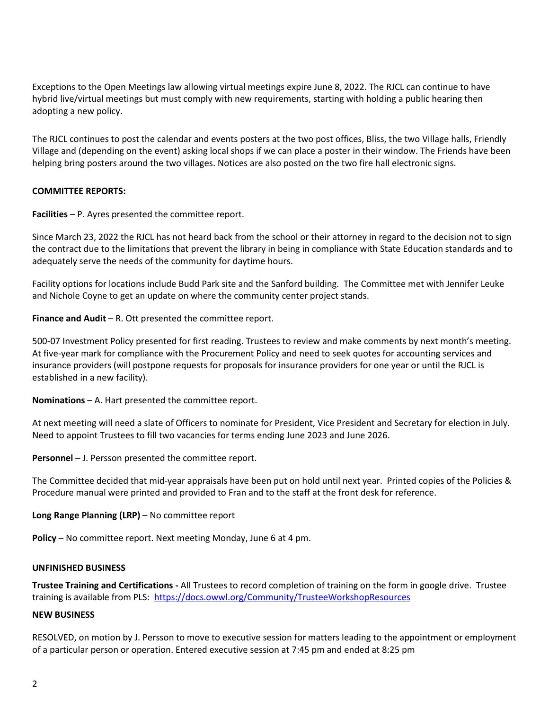Exceptions to the Open Meetings law allowing virtual meetings expire June 8, 2022. The RJCL can continue to have hybrid live/virtual meetings but must comply with new requirements, starting with holding a public hearing then adopting a new policy.

The RJCL continues to post the calendar and events posters at the two post offices, Bliss, the two Village halls, Friendly Village and (depending on the event) asking local shops if we can place a poster in their window. The Friends have been helping bring posters around the two villages. Notices are also posted on the two fire hall electronic signs.

# **COMMITTEE REPORTS:**

**Facilities** – P. Ayres presented the committee report.

Since March 23, 2022 the RJCL has not heard back from the school or their attorney in regard to the decision not to sign the contract due to the limitations that prevent the library in being in compliance with State Education standards and to adequately serve the needs of the community for daytime hours.

Facility options for locations include Budd Park site and the Sanford building. The Committee met with Jennifer Leuke and Nichole Coyne to get an update on where the community center project stands.

**Finance and Audit** – R. Ott presented the committee report.

500-07 Investment Policy presented for first reading. Trustees to review and make comments by next month's meeting. At five-year mark for compliance with the Procurement Policy and need to seek quotes for accounting services and insurance providers (will postpone requests for proposals for insurance providers for one year or until the RJCL is established in a new facility).

**Nominations** – A. Hart presented the committee report.

At next meeting will need a slate of Officers to nominate for President, Vice President and Secretary for election in July. Need to appoint Trustees to fill two vacancies for terms ending June 2023 and June 2026.

**Personnel** – J. Persson presented the committee report.

The Committee decided that mid-year appraisals have been put on hold until next year. Printed copies of the Policies & Procedure manual were printed and provided to Fran and to the staff at the front desk for reference.

# **Long Range Planning (LRP)** – No committee report

**Policy** – No committee report. Next meeting Monday, June 6 at 4 pm.

#### **UNFINISHED BUSINESS**

**Trustee Training and Certifications -** All Trustees to record completion of training on the form in google drive. Trustee training is available from PLS: <https://docs.owwl.org/Community/TrusteeWorkshopResources>

#### **NEW BUSINESS**

RESOLVED, on motion by J. Persson to move to executive session for matters leading to the appointment or employment of a particular person or operation. Entered executive session at 7:45 pm and ended at 8:25 pm